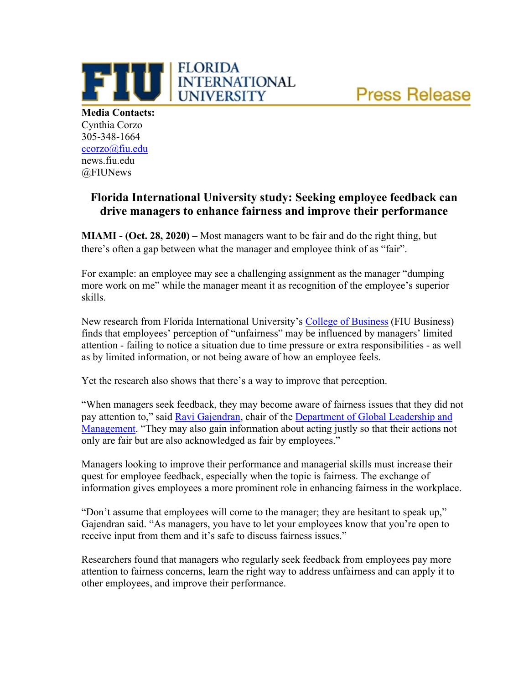

**Media Contacts:** Cynthia Corzo 305-348-1664 [ccorzo@fiu.edu](mailto:ccorzo@fiu.edu) news.fiu.edu @FIUNews

## **Florida International University study: Seeking employee feedback can drive managers to enhance fairness and improve their performance**

**MIAMI - (Oct. 28, 2020) –** Most managers want to be fair and do the right thing, but there's often a gap between what the manager and employee think of as "fair".

**FLORIDA** 

**UNIVERSITY** 

**THE ELORIDA**<br>
UNIVERSITY

For example: an employee may see a challenging assignment as the manager "dumping more work on me" while the manager meant it as recognition of the employee's superior skills.

New research from Florida International University's [College of Business](https://business.fiu.edu/index.cfm) (FIU Business) finds that employees' perception of "unfairness" may be influenced by managers' limited attention - failing to notice a situation due to time pressure or extra responsibilities - as well as by limited information, or not being aware of how an employee feels.

Yet the research also shows that there's a way to improve that perception.

"When managers seek feedback, they may become aware of fairness issues that they did not pay attention to," said [Ravi Gajendran,](https://business.fiu.edu/faculty/expert-guides.cfm?FlagDirectory=Display&Emp=gajendranr) chair of the [Department of Global Leadership and](https://business.fiu.edu/academic-departments/glam/index.cfm)  [Management.](https://business.fiu.edu/academic-departments/glam/index.cfm) "They may also gain information about acting justly so that their actions not only are fair but are also acknowledged as fair by employees."

Managers looking to improve their performance and managerial skills must increase their quest for employee feedback, especially when the topic is fairness. The exchange of information gives employees a more prominent role in enhancing fairness in the workplace.

"Don't assume that employees will come to the manager; they are hesitant to speak up," Gajendran said. "As managers, you have to let your employees know that you're open to receive input from them and it's safe to discuss fairness issues."

Researchers found that managers who regularly seek feedback from employees pay more attention to fairness concerns, learn the right way to address unfairness and can apply it to other employees, and improve their performance.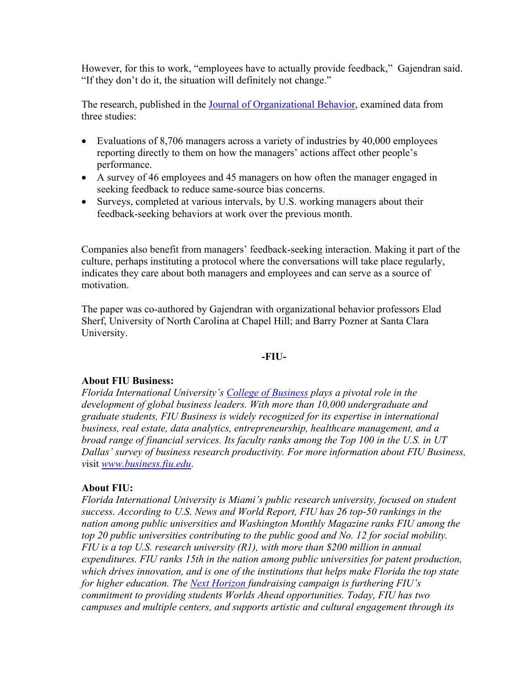However, for this to work, "employees have to actually provide feedback," Gajendran said. "If they don't do it, the situation will definitely not change."

The research, published in the [Journal of Organizational Behavior,](https://onlinelibrary.wiley.com/doi/10.1002/job.2481) examined data from three studies:

- Evaluations of 8,706 managers across a variety of industries by 40,000 employees reporting directly to them on how the managers' actions affect other people's performance.
- A survey of 46 employees and 45 managers on how often the manager engaged in seeking feedback to reduce same-source bias concerns.
- Surveys, completed at various intervals, by U.S. working managers about their feedback-seeking behaviors at work over the previous month.

Companies also benefit from managers' feedback-seeking interaction. Making it part of the culture, perhaps instituting a protocol where the conversations will take place regularly, indicates they care about both managers and employees and can serve as a source of motivation.

The paper was co-authored by Gajendran with organizational behavior professors Elad Sherf, University of North Carolina at Chapel Hill; and Barry Pozner at Santa Clara University.

## **-FIU-**

## **About FIU Business:**

*Florida International University's [College of Business](https://business.fiu.edu/index.cfm) plays a pivotal role in the development of global business leaders. With more than 10,000 undergraduate and graduate students, FIU Business is widely recognized for its expertise in international business, real estate, data analytics, entrepreneurship, healthcare management, and a broad range of financial services. Its faculty ranks among the Top 100 in the U.S. in UT Dallas' survey of business research productivity. For more information about FIU Business, v*isit *[www.business.fiu.edu](http://www.business.fiu.edu/)*.

## **About FIU:**

*Florida International University is Miami's public research university, focused on student success. According to U.S. News and World Report, FIU has 26 top-50 rankings in the nation among public universities and Washington Monthly Magazine ranks FIU among the top 20 public universities contributing to the public good and No. 12 for social mobility. FIU is a top U.S. research university (R1), with more than \$200 million in annual expenditures. FIU ranks 15th in the nation among public universities for patent production, which drives innovation, and is one of the institutions that helps make Florida the top state for higher education. The [Next Horizon](https://urldefense.proofpoint.com/v2/url?u=https-3A__fiu.us1.list-2Dmanage.com_track_click-3Fu-3Dd13d9ca5483e1889af5c1cd91-26id-3D0dcb6a3b95-26e-3D8f62f4a88e&d=DwMFaQ&c=lhMMI368wojMYNABHh1gQQ&r=ydtgFr3h5-aC_noBhtztTw&m=oTaxGt8e9IqD9XqKmSfd3datnxDEuZpEujRtEVmojnA&s=oUnSe4kkfDQ-fHEgdyQ5qMZaG0a0o4Gi7wjNEMGWmw8&e=) fundraising campaign is furthering FIU's commitment to providing students Worlds Ahead opportunities. Today, FIU has two campuses and multiple centers, and supports artistic and cultural engagement through its*